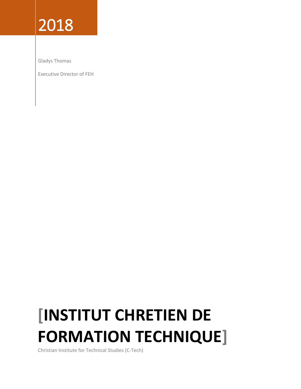## 2018

Gladys Thomas

Executive Director of FEH

## **[INSTITUT CHRETIEN DE FORMATION TECHNIQUE]**

Christian Institute for Technical Studies (C-Tech)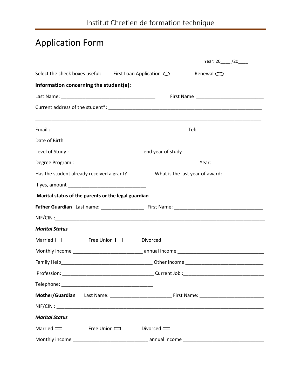## Application Form

|                                                                                                     |  |                 |                    | Year: 20_____/20_____ |  |
|-----------------------------------------------------------------------------------------------------|--|-----------------|--------------------|-----------------------|--|
| Select the check boxes useful: First Loan Application $\bigcirc$                                    |  |                 | Renewal $\bigcirc$ |                       |  |
| Information concerning the student(e):                                                              |  |                 |                    |                       |  |
|                                                                                                     |  |                 |                    |                       |  |
|                                                                                                     |  |                 |                    |                       |  |
|                                                                                                     |  |                 |                    |                       |  |
|                                                                                                     |  |                 |                    |                       |  |
| Level of Study: _______________________________ - end year of study _______________________________ |  |                 |                    |                       |  |
|                                                                                                     |  |                 |                    |                       |  |
| Has the student already received a grant? ___________ What is the last year of award: _____________ |  |                 |                    |                       |  |
|                                                                                                     |  |                 |                    |                       |  |
| Marital status of the parents or the legal guardian                                                 |  |                 |                    |                       |  |
|                                                                                                     |  |                 |                    |                       |  |
|                                                                                                     |  |                 |                    |                       |  |
| <b>Marital Status</b>                                                                               |  |                 |                    |                       |  |
| $Married$ Free Union $\Box$                                                                         |  | Divorced $\Box$ |                    |                       |  |
|                                                                                                     |  |                 |                    |                       |  |
|                                                                                                     |  |                 |                    |                       |  |
|                                                                                                     |  |                 |                    |                       |  |
|                                                                                                     |  |                 |                    |                       |  |
|                                                                                                     |  |                 |                    |                       |  |
|                                                                                                     |  |                 |                    |                       |  |
| <b>Marital Status</b>                                                                               |  |                 |                    |                       |  |
| Married CO Free Union CO Divorced CO                                                                |  |                 |                    |                       |  |
|                                                                                                     |  |                 |                    |                       |  |